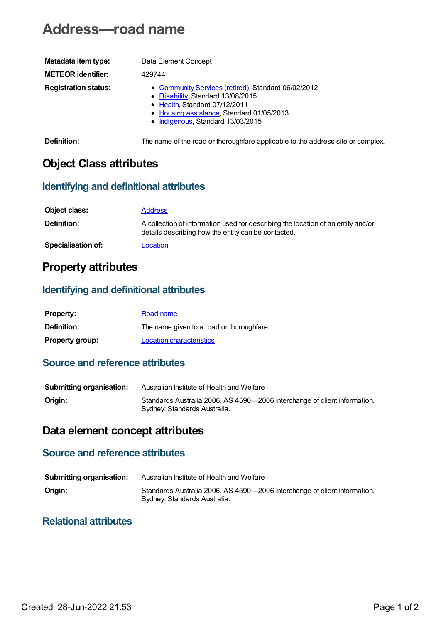# **Address—road name**

| Metadata item type:         | Data Element Concept                                                                                                                                                                                        |
|-----------------------------|-------------------------------------------------------------------------------------------------------------------------------------------------------------------------------------------------------------|
| <b>METEOR identifier:</b>   | 429744                                                                                                                                                                                                      |
| <b>Registration status:</b> | • Community Services (retired), Standard 06/02/2012<br>• Disability, Standard 13/08/2015<br>• Health, Standard 07/12/2011<br>• Housing assistance, Standard 01/05/2013<br>• Indigenous, Standard 13/03/2015 |

**Definition:** The name of the road or thoroughfare applicable to the address site or complex.

### **Object Class attributes**

#### **Identifying and definitional attributes**

| Object class:             | <b>Address</b>                                                                                                                          |
|---------------------------|-----------------------------------------------------------------------------------------------------------------------------------------|
| <b>Definition:</b>        | A collection of information used for describing the location of an entity and/or<br>details describing how the entity can be contacted. |
| <b>Specialisation of:</b> | Location                                                                                                                                |

### **Property attributes**

#### **Identifying and definitional attributes**

| <b>Property:</b>       | Road name                                 |
|------------------------|-------------------------------------------|
| <b>Definition:</b>     | The name given to a road or thoroughfare. |
| <b>Property group:</b> | Location characteristics                  |

#### **Source and reference attributes**

| <b>Submitting organisation:</b> | Australian Institute of Health and Welfare                                                                |
|---------------------------------|-----------------------------------------------------------------------------------------------------------|
| Origin:                         | Standards Australia 2006. AS 4590-2006 Interchange of client information.<br>Sydney: Standards Australia. |

## **Data element concept attributes**

### **Source and reference attributes**

| <b>Submitting organisation:</b> | Australian Institute of Health and Welfare                                                                |
|---------------------------------|-----------------------------------------------------------------------------------------------------------|
| Origin:                         | Standards Australia 2006. AS 4590-2006 Interchange of client information.<br>Sydney: Standards Australia. |

#### **Relational attributes**